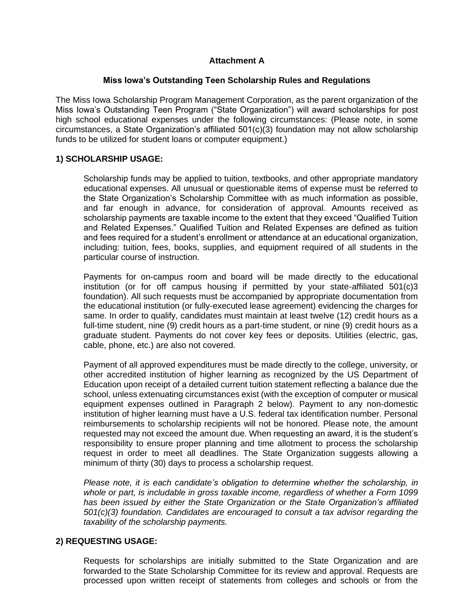# **Attachment A**

## **Miss Iowa's Outstanding Teen Scholarship Rules and Regulations**

The Miss Iowa Scholarship Program Management Corporation, as the parent organization of the Miss Iowa's Outstanding Teen Program ("State Organization") will award scholarships for post high school educational expenses under the following circumstances: (Please note, in some circumstances, a State Organization's affiliated 501(c)(3) foundation may not allow scholarship funds to be utilized for student loans or computer equipment.)

## **1) SCHOLARSHIP USAGE:**

Scholarship funds may be applied to tuition, textbooks, and other appropriate mandatory educational expenses. All unusual or questionable items of expense must be referred to the State Organization's Scholarship Committee with as much information as possible, and far enough in advance, for consideration of approval. Amounts received as scholarship payments are taxable income to the extent that they exceed "Qualified Tuition and Related Expenses." Qualified Tuition and Related Expenses are defined as tuition and fees required for a student's enrollment or attendance at an educational organization, including: tuition, fees, books, supplies, and equipment required of all students in the particular course of instruction.

Payments for on-campus room and board will be made directly to the educational institution (or for off campus housing if permitted by your state-affiliated 501(c)3 foundation). All such requests must be accompanied by appropriate documentation from the educational institution (or fully-executed lease agreement) evidencing the charges for same. In order to qualify, candidates must maintain at least twelve (12) credit hours as a full-time student, nine (9) credit hours as a part-time student, or nine (9) credit hours as a graduate student. Payments do not cover key fees or deposits. Utilities (electric, gas, cable, phone, etc.) are also not covered.

Payment of all approved expenditures must be made directly to the college, university, or other accredited institution of higher learning as recognized by the US Department of Education upon receipt of a detailed current tuition statement reflecting a balance due the school, unless extenuating circumstances exist (with the exception of computer or musical equipment expenses outlined in Paragraph 2 below). Payment to any non-domestic institution of higher learning must have a U.S. federal tax identification number. Personal reimbursements to scholarship recipients will not be honored. Please note, the amount requested may not exceed the amount due. When requesting an award, it is the student's responsibility to ensure proper planning and time allotment to process the scholarship request in order to meet all deadlines. The State Organization suggests allowing a minimum of thirty (30) days to process a scholarship request.

*Please note, it is each candidate's obligation to determine whether the scholarship, in whole or part, is includable in gross taxable income, regardless of whether a Form 1099 has been issued by either the State Organization or the State Organization's affiliated 501(c)(3) foundation. Candidates are encouraged to consult a tax advisor regarding the taxability of the scholarship payments.* 

# **2) REQUESTING USAGE:**

Requests for scholarships are initially submitted to the State Organization and are forwarded to the State Scholarship Committee for its review and approval. Requests are processed upon written receipt of statements from colleges and schools or from the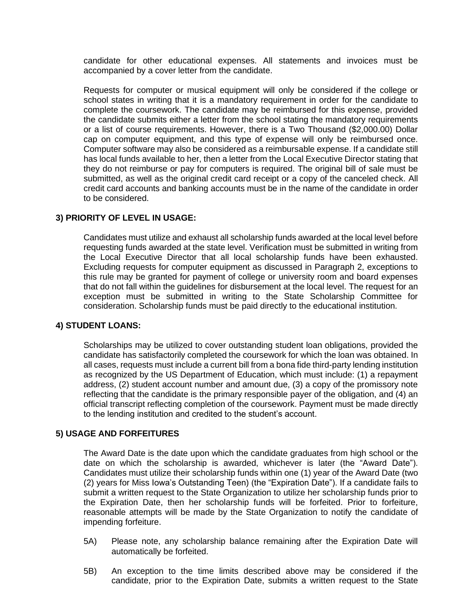candidate for other educational expenses. All statements and invoices must be accompanied by a cover letter from the candidate.

Requests for computer or musical equipment will only be considered if the college or school states in writing that it is a mandatory requirement in order for the candidate to complete the coursework. The candidate may be reimbursed for this expense, provided the candidate submits either a letter from the school stating the mandatory requirements or a list of course requirements. However, there is a Two Thousand (\$2,000.00) Dollar cap on computer equipment, and this type of expense will only be reimbursed once. Computer software may also be considered as a reimbursable expense. If a candidate still has local funds available to her, then a letter from the Local Executive Director stating that they do not reimburse or pay for computers is required. The original bill of sale must be submitted, as well as the original credit card receipt or a copy of the canceled check. All credit card accounts and banking accounts must be in the name of the candidate in order to be considered.

## **3) PRIORITY OF LEVEL IN USAGE:**

Candidates must utilize and exhaust all scholarship funds awarded at the local level before requesting funds awarded at the state level. Verification must be submitted in writing from the Local Executive Director that all local scholarship funds have been exhausted. Excluding requests for computer equipment as discussed in Paragraph 2, exceptions to this rule may be granted for payment of college or university room and board expenses that do not fall within the guidelines for disbursement at the local level. The request for an exception must be submitted in writing to the State Scholarship Committee for consideration. Scholarship funds must be paid directly to the educational institution.

#### **4) STUDENT LOANS:**

Scholarships may be utilized to cover outstanding student loan obligations, provided the candidate has satisfactorily completed the coursework for which the loan was obtained. In all cases, requests must include a current bill from a bona fide third-party lending institution as recognized by the US Department of Education, which must include: (1) a repayment address, (2) student account number and amount due, (3) a copy of the promissory note reflecting that the candidate is the primary responsible payer of the obligation, and (4) an official transcript reflecting completion of the coursework. Payment must be made directly to the lending institution and credited to the student's account.

#### **5) USAGE AND FORFEITURES**

The Award Date is the date upon which the candidate graduates from high school or the date on which the scholarship is awarded, whichever is later (the "Award Date"). Candidates must utilize their scholarship funds within one (1) year of the Award Date (two (2) years for Miss Iowa's Outstanding Teen) (the "Expiration Date"). If a candidate fails to submit a written request to the State Organization to utilize her scholarship funds prior to the Expiration Date, then her scholarship funds will be forfeited. Prior to forfeiture, reasonable attempts will be made by the State Organization to notify the candidate of impending forfeiture.

- 5A) Please note, any scholarship balance remaining after the Expiration Date will automatically be forfeited.
- 5B) An exception to the time limits described above may be considered if the candidate, prior to the Expiration Date, submits a written request to the State